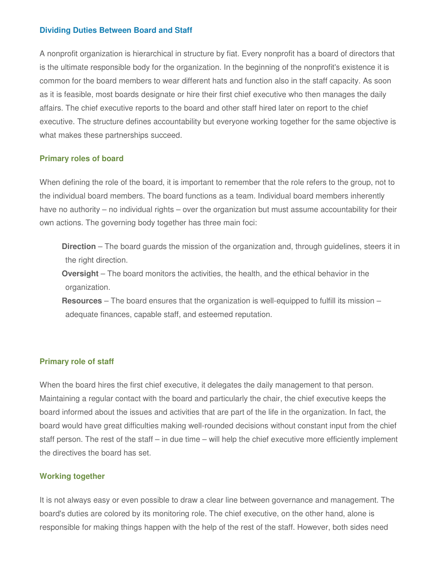### **Dividing Duties Between Board and Staff**

A nonprofit organization is hierarchical in structure by fiat. Every nonprofit has a board of directors that is the ultimate responsible body for the organization. In the beginning of the nonprofit's existence it is common for the board members to wear different hats and function also in the staff capacity. As soon as it is feasible, most boards designate or hire their first chief executive who then manages the daily affairs. The chief executive reports to the board and other staff hired later on report to the chief executive. The structure defines accountability but everyone working together for the same objective is what makes these partnerships succeed.

#### **Primary roles of board**

When defining the role of the board, it is important to remember that the role refers to the group, not to the individual board members. The board functions as a team. Individual board members inherently have no authority – no individual rights – over the organization but must assume accountability for their own actions. The governing body together has three main foci:

- **Direction** The board guards the mission of the organization and, through guidelines, steers it in the right direction.
- **Oversight** The board monitors the activities, the health, and the ethical behavior in the organization.
- **Resources** The board ensures that the organization is well-equipped to fulfill its mission adequate finances, capable staff, and esteemed reputation.

#### **Primary role of staff**

When the board hires the first chief executive, it delegates the daily management to that person. Maintaining a regular contact with the board and particularly the chair, the chief executive keeps the board informed about the issues and activities that are part of the life in the organization. In fact, the board would have great difficulties making well-rounded decisions without constant input from the chief staff person. The rest of the staff – in due time – will help the chief executive more efficiently implement the directives the board has set.

#### **Working together**

It is not always easy or even possible to draw a clear line between governance and management. The board's duties are colored by its monitoring role. The chief executive, on the other hand, alone is responsible for making things happen with the help of the rest of the staff. However, both sides need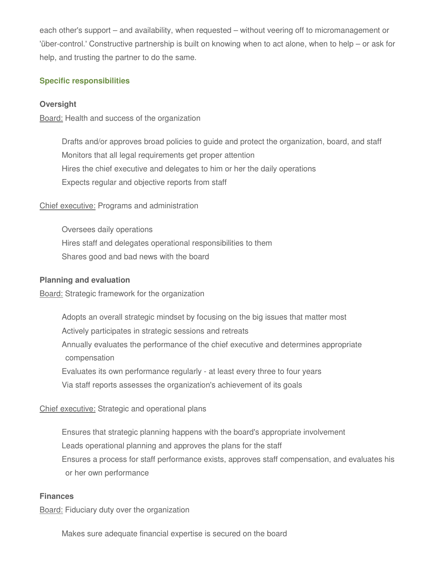each other's support – and availability, when requested – without veering off to micromanagement or 'über-control.' Constructive partnership is built on knowing when to act alone, when to help – or ask for help, and trusting the partner to do the same.

### **Specific responsibilities**

### **Oversight**

Board: Health and success of the organization

Drafts and/or approves broad policies to guide and protect the organization, board, and staff Monitors that all legal requirements get proper attention Hires the chief executive and delegates to him or her the daily operations Expects regular and objective reports from staff

### Chief executive: Programs and administration

Oversees daily operations Hires staff and delegates operational responsibilities to them Shares good and bad news with the board

#### **Planning and evaluation**

Board: Strategic framework for the organization

Adopts an overall strategic mindset by focusing on the big issues that matter most Actively participates in strategic sessions and retreats Annually evaluates the performance of the chief executive and determines appropriate compensation Evaluates its own performance regularly - at least every three to four years Via staff reports assesses the organization's achievement of its goals

### Chief executive: Strategic and operational plans

Ensures that strategic planning happens with the board's appropriate involvement Leads operational planning and approves the plans for the staff Ensures a process for staff performance exists, approves staff compensation, and evaluates his or her own performance

#### **Finances**

Board: Fiduciary duty over the organization

Makes sure adequate financial expertise is secured on the board